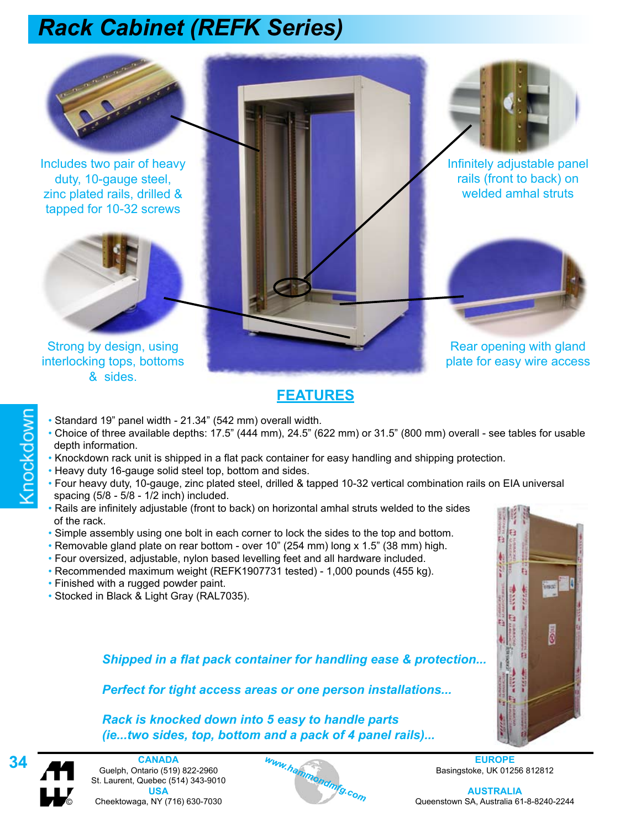

Includes two pair of heavy duty, 10-gauge steel, zinc plated rails, drilled & tapped for 10-32 screws



Strong by design, using interlocking tops, bottoms & sides.

Rear opening with gland plate for easy wire access

Infinitely adjustable panel rails (front to back) on welded amhal struts

### **FEATURES**

- Standard 19" panel width 21.34" (542 mm) overall width.
- Choice of three available depths: 17.5" (444 mm), 24.5" (622 mm) or 31.5" (800 mm) overall see tables for usable depth information.
- Knockdown rack unit is shipped in a flat pack container for easy handling and shipping protection.
- Heavy duty 16-gauge solid steel top, bottom and sides.
- Four heavy duty, 10-gauge, zinc plated steel, drilled & tapped 10-32 vertical combination rails on EIA universal spacing (5/8 - 5/8 - 1/2 inch) included.
- Rails are infinitely adjustable (front to back) on horizontal amhal struts welded to the sides of the rack.
- Simple assembly using one bolt in each corner to lock the sides to the top and bottom.
- Removable gland plate on rear bottom over 10" (254 mm) long x 1.5" (38 mm) high.
- Four oversized, adjustable, nylon based levelling feet and all hardware included.
- Recommended maximum weight (REFK1907731 tested) 1,000 pounds (455 kg).
- Finished with a rugged powder paint.
- Stocked in Black & Light Gray (RAL7035).



*Shipped in a flat pack container for handling ease & protection...*

*Perfect for tight access areas or one person installations...*

*Rack is knocked down into 5 easy to handle parts (ie...two sides, top, bottom and a pack of 4 panel rails)...*



Knockdown

**34 EUROPE**<br>
Suelph, Ontario (519) 822-2960<br>
St. Laurent, Quebec (514) 343-9010<br> **1954 EUROPE**<br> **1954 EUROPE**<br> **1954 EUROPE**<br> **1954 EUROPE**<br> **1954 EUROPE**<br> **1954 AUSTRALI CANADA** Guelph, Ontario (519) 822-2960 St. Laurent, Quebec (514) 343-9010 **USA** © Cheektowaga, NY (716) 630-7030



Basingstoke, UK 01256 812812

**AUSTRALIA** Queenstown SA, Australia 61-8-8240-2244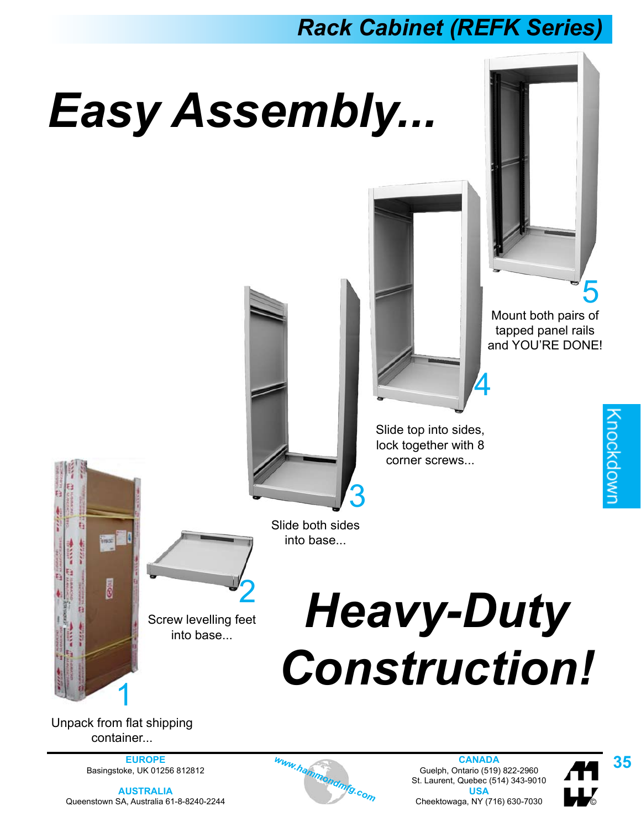# *Easy Assembly...*



tapped panel rails and YOU'RE DONE!



corner screws... 3

Slide top into sides, lock together with 8

4

**EDILL** 

Slide both sides into base...

Screw levelling feet into base...

2

# *Heavy-Duty*  Construction!

Unpack from flat shipping container...

**AUSTRALIA** Queenstown SA, Australia 61-8-8240-2244



EUROPE *www.hammondmfg.com* Guelph, Ontario (519) 822-2960 **35**<br> **AUSTRALIA BASING BELL AND BELL AND STRALLA**<br> **AUSTRALIA** USA **COM** Christians and Christians and Materials and 2014 **CANADA** Guelph, Ontario (519) 822-2960 St. Laurent, Quebec (514) 343-9010 **USA** Cheektowaga, NY (716) 630-7030 ©

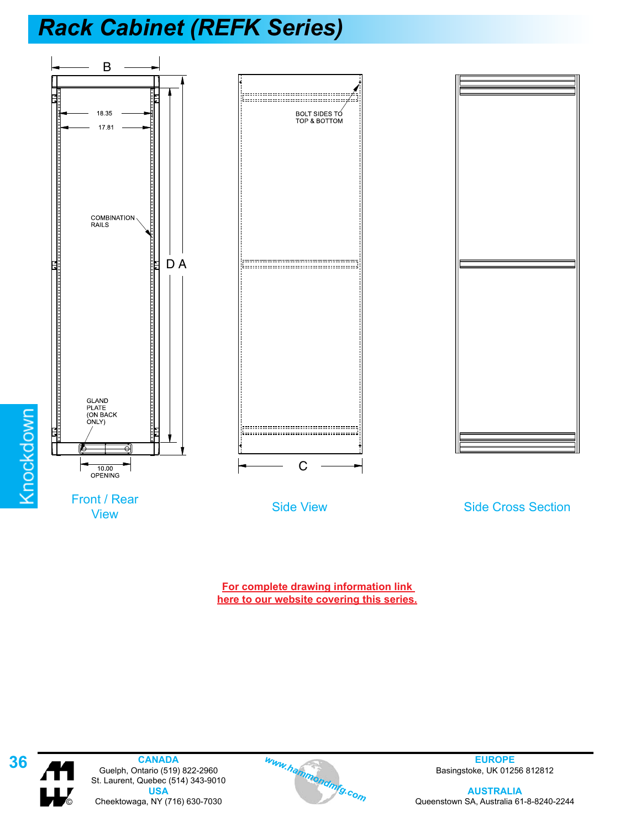

**For complete drawing information link [here to our website covering this series.](http://www.hammondmfg.com/racktbls.htm)**



**36 CANADA EUROPE**<br>
St. Laurent, Quebec (514) 343-9010<br> **1954 EUROPE Basingstoke, UK 012**<br> **1954 EUROPE**<br> **1954 EUROPE**<br> **1954 EUROPE**<br> **1954 EUROPE**<br> **1956 EUROPE**<br> **1956 EUROPE CANADA** Guelph, Ontario (519) 822-2960 St. Laurent, Quebec (514) 343-9010 **USA** © Cheektowaga, NY (716) 630-7030



Basingstoke, UK 01256 812812

**AUSTRALIA** Queenstown SA, Australia 61-8-8240-2244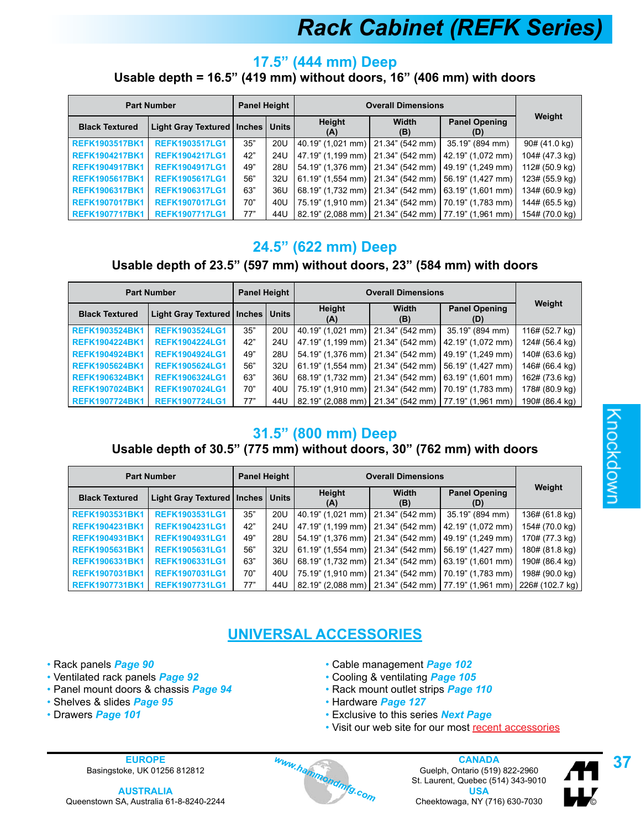### **17.5" (444 mm) Deep Usable depth = 16.5" (419 mm) without doors, 16" (406 mm) with doors**

|                       | <b>Part Number</b>                   | <b>Panel Height</b> |     | <b>Overall Dimensions</b>                               |                 |                             |                |
|-----------------------|--------------------------------------|---------------------|-----|---------------------------------------------------------|-----------------|-----------------------------|----------------|
| <b>Black Textured</b> | Light Gray Textured   Inches   Units |                     |     | <b>Height</b><br>(A)                                    | Width<br>(B)    | <b>Panel Opening</b><br>(D) | Weight         |
| <b>REFK1903517BK1</b> | <b>REFK1903517LG1</b>                | 35"                 | 20U | 40.19" (1.021 mm)                                       | 21.34" (542 mm) | 35.19" (894 mm)             | 90# (41.0 kg)  |
| <b>REFK1904217BK1</b> | <b>REFK1904217LG1</b>                | 42"                 | 24U | 47.19" (1,199 mm) 21.34" (542 mm)                       |                 | 42.19" (1,072 mm)           | 104# (47.3 kg) |
| <b>REFK1904917BK1</b> | <b>REFK1904917LG1</b>                | 49"                 | 28U | 54.19" (1,376 mm) 21.34" (542 mm)                       |                 | 49.19" (1.249 mm)           | 112# (50.9 kg) |
| <b>REFK1905617BK1</b> | <b>REFK1905617LG1</b>                | 56"                 | 32U | $61.19$ " (1,554 mm)   21.34" (542 mm)                  |                 | 56.19" (1,427 mm)           | 123# (55.9 kg) |
| <b>REFK1906317BK1</b> | <b>REFK1906317LG1</b>                | 63"                 | 36U | 68.19" (1.732 mm) 21.34" (542 mm)                       |                 | 63.19" (1,601 mm)           | 134# (60.9 kg) |
| <b>REFK1907017BK1</b> | <b>REFK1907017LG1</b>                | 70"                 | 40U | 75.19" (1,910 mm)   21.34" (542 mm)                     |                 | 70.19" (1.783 mm)           | 144# (65.5 kg) |
| <b>REFK1907717BK1</b> | <b>REFK1907717LG1</b>                | 77"                 | 44U | 82.19" (2,088 mm)   21.34" (542 mm)   77.19" (1,961 mm) |                 |                             | 154# (70.0 kg) |

### **24.5" (622 mm) Deep**

### **Usable depth of 23.5" (597 mm) without doors, 23" (584 mm) with doors**

|                       | <b>Part Number</b>                   | <b>Panel Height</b> |     | <b>Overall Dimensions</b>           |                     |                                                         |                |
|-----------------------|--------------------------------------|---------------------|-----|-------------------------------------|---------------------|---------------------------------------------------------|----------------|
| <b>Black Textured</b> | Light Gray Textured   Inches   Units |                     |     | Height<br>(A)                       | <b>Width</b><br>(B) | <b>Panel Opening</b><br>(D)                             | Weight         |
| <b>REFK1903524BK1</b> | <b>REFK1903524LG1</b>                | 35"                 | 20U | 40.19" (1,021 mm) 21.34" (542 mm)   |                     | 35.19" (894 mm)                                         | 116# (52.7 kg) |
| <b>REFK1904224BK1</b> | <b>REFK1904224LG1</b>                | 42"                 | 24U | 47.19" (1,199 mm) 21.34" (542 mm)   |                     | 42.19" (1,072 mm)                                       | 124# (56.4 kg) |
| <b>REFK1904924BK1</b> | <b>REFK1904924LG1</b>                | 49"                 | 28U |                                     |                     | 54.19" (1,376 mm)   21.34" (542 mm)   49.19" (1,249 mm) | 140# (63.6 kg) |
| <b>REFK1905624BK1</b> | <b>REFK1905624LG1</b>                | 56"                 | 32U | 61.19" (1,554 mm)   21.34" (542 mm) |                     | $156.19$ " (1,427 mm)                                   | 146# (66.4 kg) |
| <b>REFK1906324BK1</b> | <b>REFK1906324LG1</b>                | 63"                 | 36U |                                     |                     | 68.19" (1,732 mm) 21.34" (542 mm) 63.19" (1,601 mm)     | 162# (73.6 kg) |
| <b>REFK1907024BK1</b> | <b>REFK1907024LG1</b>                | 70"                 | 40U |                                     |                     | 75.19" (1,910 mm) 21.34" (542 mm) 70.19" (1,783 mm)     | 178# (80.9 kg) |
| <b>REFK1907724BK1</b> | <b>REFK1907724LG1</b>                | 77"                 | 44U |                                     |                     | 82.19" (2.088 mm)   21.34" (542 mm)   77.19" (1.961 mm) | 190# (86.4 kg) |

### **31.5" (800 mm) Deep**

### **Usable depth of 30.5" (775 mm) without doors, 30" (762 mm) with doors**

|                       | <b>Part Number</b>                   | <b>Panel Height</b> |     | <b>Overall Dimensions</b>                 |                     |                                                                           |                |
|-----------------------|--------------------------------------|---------------------|-----|-------------------------------------------|---------------------|---------------------------------------------------------------------------|----------------|
| <b>Black Textured</b> | Light Gray Textured   Inches   Units |                     |     | Height<br>(A)                             | <b>Width</b><br>(B) | <b>Panel Opening</b><br>(D)                                               | Weight         |
| <b>REFK1903531BK1</b> | <b>REFK1903531LG1</b>                | 35"                 | 20U | $(40.19$ " (1,021 mm) $(21.34$ " (542 mm) |                     | 35.19" (894 mm)                                                           | 136# (61.8 kg) |
| <b>REFK1904231BK1</b> | <b>REFK1904231LG1</b>                | 42"                 | 24U |                                           |                     | 47.19" (1,199 mm)   21.34" (542 mm)   42.19" (1,072 mm)                   | 154# (70.0 kg) |
| <b>REFK1904931BK1</b> | <b>REFK1904931LG1</b>                | 49"                 | 28U |                                           |                     | 54.19" (1,376 mm)   21.34" (542 mm)   49.19" (1,249 mm)                   | 170# (77.3 kg) |
| <b>REFK1905631BK1</b> | <b>REFK1905631LG1</b>                | 56"                 | 32U |                                           |                     | 61.19" (1.554 mm)   21.34" (542 mm)   56.19" (1.427 mm)                   | 180# (81.8 kg) |
| <b>REFK1906331BK1</b> | <b>REFK1906331LG1</b>                | 63"                 | 36U |                                           |                     | 68.19" (1,732 mm)   21.34" (542 mm)   63.19" (1,601 mm)                   | 190# (86.4 kg) |
| <b>REFK1907031BK1</b> | <b>REFK1907031LG1</b>                | 70"                 | 40U |                                           |                     | 75.19" (1,910 mm)   21.34" (542 mm)   70.19" (1,783 mm)                   | 198# (90.0 kg) |
| <b>REFK1907731BK1</b> | <b>REFK1907731LG1</b>                | 77"                 | 44U |                                           |                     | 82.19" (2,088 mm)   21.34" (542 mm)   77.19" (1,961 mm)   226# (102.7 kg) |                |

### **UNIVERSAL ACCESSORIES**

- Rack panels *Page 90*
- Ventilated rack panels *Page 92*
- Panel mount doors & chassis *Page 94*
- Shelves & slides *Page 95*
- Drawers *Page 101*
- Cable management *Page 102*
- Cooling & ventilating *Page 105*
- Rack mount outlet strips *Page 110*
- Hardware *Page 127*
- Exclusive to this series *Next Page*
- Visit our web site for our most [recent accessories](http://www.hammondmfg.com/racks.htm#accessories)

**AUSTRALIA** Queenstown SA, Australia 61-8-8240-2244



EUROPE *Www.hammondmfg.com*<br>
Basingstoke, UK 01256 812812<br> **AUSTRALIA** BELAURE STARE SOLO 2244<br> **EUROPE** Guelph, Ontario (519) 822-2960<br>
St. Laurent, Quebec (514) 343-9010<br>
Chapterwase NY (716) 620-7030 **CANADA** Guelph, Ontario (519) 822-2960 St. Laurent, Quebec (514) 343-9010 **USA** Cheektowaga, NY (716) 630-7030 ©

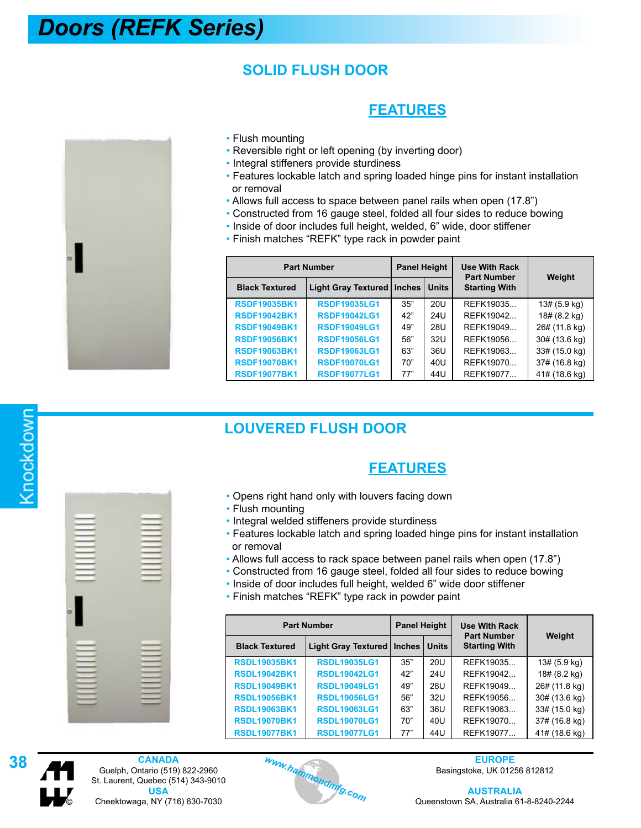### *Doors (REFK Series)*

### **SOLID FLUSH DOOR**

### **FEATURES**



- Flush mounting
- Reversible right or left opening (by inverting door)
- Integral stiffeners provide sturdiness
- Features lockable latch and spring loaded hinge pins for instant installation or removal
- Allows full access to space between panel rails when open (17.8")
- Constructed from 16 gauge steel, folded all four sides to reduce bowing
- Inside of door includes full height, welded, 6" wide, door stiffener
	- Finish matches "REFK" type rack in powder paint

| <b>Part Number</b>    | <b>Panel Height</b>        |          | <b>Use With Rack</b><br><b>Part Number</b> |                      |               |
|-----------------------|----------------------------|----------|--------------------------------------------|----------------------|---------------|
| <b>Black Textured</b> | <b>Light Gray Textured</b> | Inches I | <b>Units</b>                               | <b>Starting With</b> | Weight        |
| <b>RSDF19035BK1</b>   | <b>RSDF19035LG1</b>        | 35"      | 20U                                        | REFK19035            | 13# (5.9 kg)  |
| <b>RSDF19042BK1</b>   | <b>RSDF19042LG1</b>        | 42"      | 24U                                        | REFK19042            | 18# (8.2 kg)  |
| <b>RSDF19049BK1</b>   | <b>RSDF19049LG1</b>        | 49"      | 28U                                        | REFK19049            | 26# (11.8 kg) |
| <b>RSDF19056BK1</b>   | <b>RSDF19056LG1</b>        | 56"      | 32U                                        | REFK19056            | 30# (13.6 kg) |
| <b>RSDF19063BK1</b>   | <b>RSDF19063LG1</b>        | 63"      | 36U                                        | REFK19063            | 33# (15.0 kg) |
| <b>RSDF19070BK1</b>   | <b>RSDF19070LG1</b>        | 70"      | 40U                                        | REFK19070            | 37# (16.8 kg) |
| <b>RSDF19077BK1</b>   | <b>RSDF19077LG1</b>        | 77"      | 44U                                        | REFK19077            | 41# (18.6 kg) |

### **LOUVERED FLUSH DOOR**

### **FEATURES**

- Opens right hand only with louvers facing down
- Flush mounting
- Integral welded stiffeners provide sturdiness
- Features lockable latch and spring loaded hinge pins for instant installation or removal
- Allows full access to rack space between panel rails when open (17.8")
- Constructed from 16 gauge steel, folded all four sides to reduce bowing
- Inside of door includes full height, welded 6" wide door stiffener
- Finish matches "REFK" type rack in powder paint

| <b>Part Number</b>    | <b>Panel Height</b>          |     | <b>Use With Rack</b><br><b>Part Number</b> | Weight               |               |
|-----------------------|------------------------------|-----|--------------------------------------------|----------------------|---------------|
| <b>Black Textured</b> | Light Gray Textured   Inches |     | <b>Units</b>                               | <b>Starting With</b> |               |
| <b>RSDL19035BK1</b>   | <b>RSDL19035LG1</b>          | 35" | 20U                                        | REFK19035            | 13# (5.9 kg)  |
| <b>RSDL19042BK1</b>   | <b>RSDL19042LG1</b>          | 42" | 24U                                        | REFK19042            | 18# (8.2 kg)  |
| <b>RSDL19049BK1</b>   | <b>RSDL19049LG1</b>          | 49" | 28U                                        | REFK19049            | 26# (11.8 kg) |
| <b>RSDL19056BK1</b>   | <b>RSDL19056LG1</b>          | 56" | 32U                                        | REFK19056            | 30# (13.6 kg) |
| <b>RSDL19063BK1</b>   | <b>RSDL19063LG1</b>          | 63" | 36U                                        | REFK19063            | 33# (15.0 kg) |
| <b>RSDL19070BK1</b>   | <b>RSDL19070LG1</b>          | 70" | 40U                                        | REFK19070            | 37# (16.8 kg) |
| <b>RSDL19077BK1</b>   | <b>RSDL19077LG1</b>          | 77" | 44U                                        | REFK19077            | 41# (18.6 kg) |





**38 EUROPE**<br>
Suelph, Ontario (519) 822-2960<br>
St. Laurent, Quebec (514) 343-9010<br> **195A EUROPE**<br>
St. Laurent, Quebec (514) 343-9010<br> **195A AUSTRALI CANADA** Guelph, Ontario (519) 822-2960 St. Laurent, Quebec (514) 343-9010 **USA** © Cheektowaga, NY (716) 630-7030



Basingstoke, UK 01256 812812

**AUSTRALIA** Queenstown SA, Australia 61-8-8240-2244

# Knockdown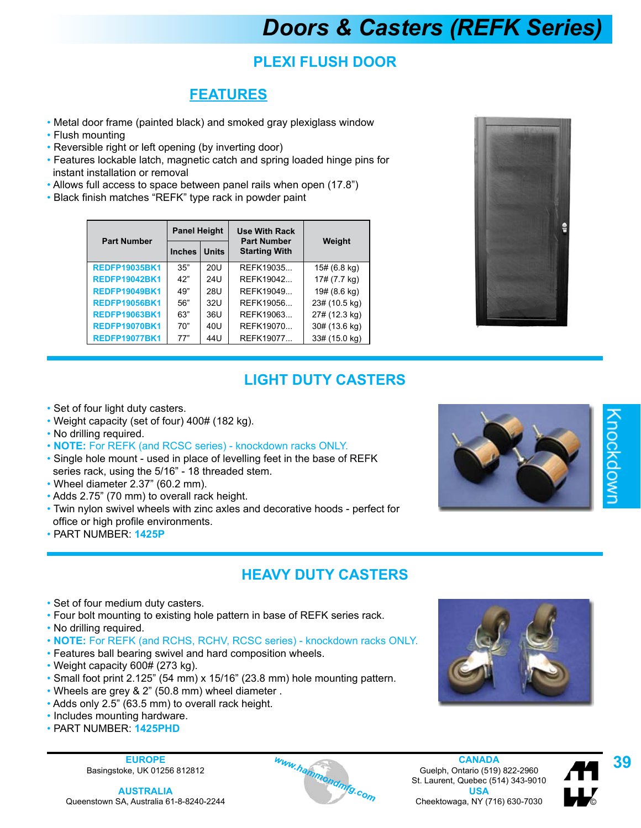# *Doors & Casters (REFK Series)*

### **PLEXI FLUSH DOOR**

### **FEATURES**

- Metal door frame (painted black) and smoked gray plexiglass window
- Flush mounting
- Reversible right or left opening (by inverting door)
- Features lockable latch, magnetic catch and spring loaded hinge pins for instant installation or removal
- Allows full access to space between panel rails when open (17.8")
- Black finish matches "REFK" type rack in powder paint

| <b>Part Number</b>   | <b>Panel Height</b> |              | <b>Use With Rack</b><br><b>Part Number</b> | Weight        |  |
|----------------------|---------------------|--------------|--------------------------------------------|---------------|--|
|                      | <b>Inches</b>       | <b>Units</b> | <b>Starting With</b>                       |               |  |
| <b>REDFP19035BK1</b> | 35"                 | 20U          | REFK19035                                  | 15# (6.8 kg)  |  |
| <b>REDFP19042BK1</b> | 42"                 | 24U          | REFK19042                                  | 17# (7.7 kg)  |  |
| <b>REDFP19049BK1</b> | 49"                 | 28U          | REFK19049                                  | 19# (8.6 kg)  |  |
| <b>REDFP19056BK1</b> | 56"                 | 32U          | REFK19056                                  | 23# (10.5 kg) |  |
| <b>REDFP19063BK1</b> | 63"                 | 36U          | REFK19063                                  | 27# (12.3 kg) |  |
| <b>REDFP19070BK1</b> | 70"                 | 40U          | REFK19070                                  | 30# (13.6 kg) |  |
| <b>REDFP19077BK1</b> | 77"                 | 44U          | REFK19077                                  | 33# (15.0 kg) |  |



### **LIGHT DUTY CASTERS**

- Set of four light duty casters.
- Weight capacity (set of four) 400# (182 kg).
- No drilling required.
- **NOTE:** For REFK (and RCSC series) knockdown racks ONLY.
- Single hole mount used in place of levelling feet in the base of REFK series rack, using the 5/16" - 18 threaded stem.
- Wheel diameter 2.37" (60.2 mm).
- Adds 2.75" (70 mm) to overall rack height.
- Twin nylon swivel wheels with zinc axles and decorative hoods perfect for office or high profile environments.
- PART NUMBER: **1425P**



# (nockdow

### **HEAVY DUTY CASTERS**

- Set of four medium duty casters.
- Four bolt mounting to existing hole pattern in base of REFK series rack.
- No drilling required.
- **NOTE:** For REFK (and RCHS, RCHV, RCSC series) knockdown racks ONLY.
- Features ball bearing swivel and hard composition wheels.
- Weight capacity 600# (273 kg).
- Small foot print 2.125" (54 mm) x 15/16" (23.8 mm) hole mounting pattern.
- Wheels are grey & 2" (50.8 mm) wheel diameter .
- Adds only 2.5" (63.5 mm) to overall rack height.
- Includes mounting hardware.
- PART NUMBER: **1425PHD**





EUROPE *Www.hammondmfg.com* Guelph, Ontario (519) 822-2960 **AUSTRALIA**<br> **AUSTRALIA BASING COM** St. Laurent, Quebec (514) 343-9010 **AUSTRALIA**<br> **EUROPE BASING COM** St. Laurent, Quebec (514) 343-9010 **AUSTRALIA CANADA** Guelph, Ontario (519) 822-2960 St. Laurent, Quebec (514) 343-9010 **USA** Cheektowaga, NY (716) 630-7030 ©